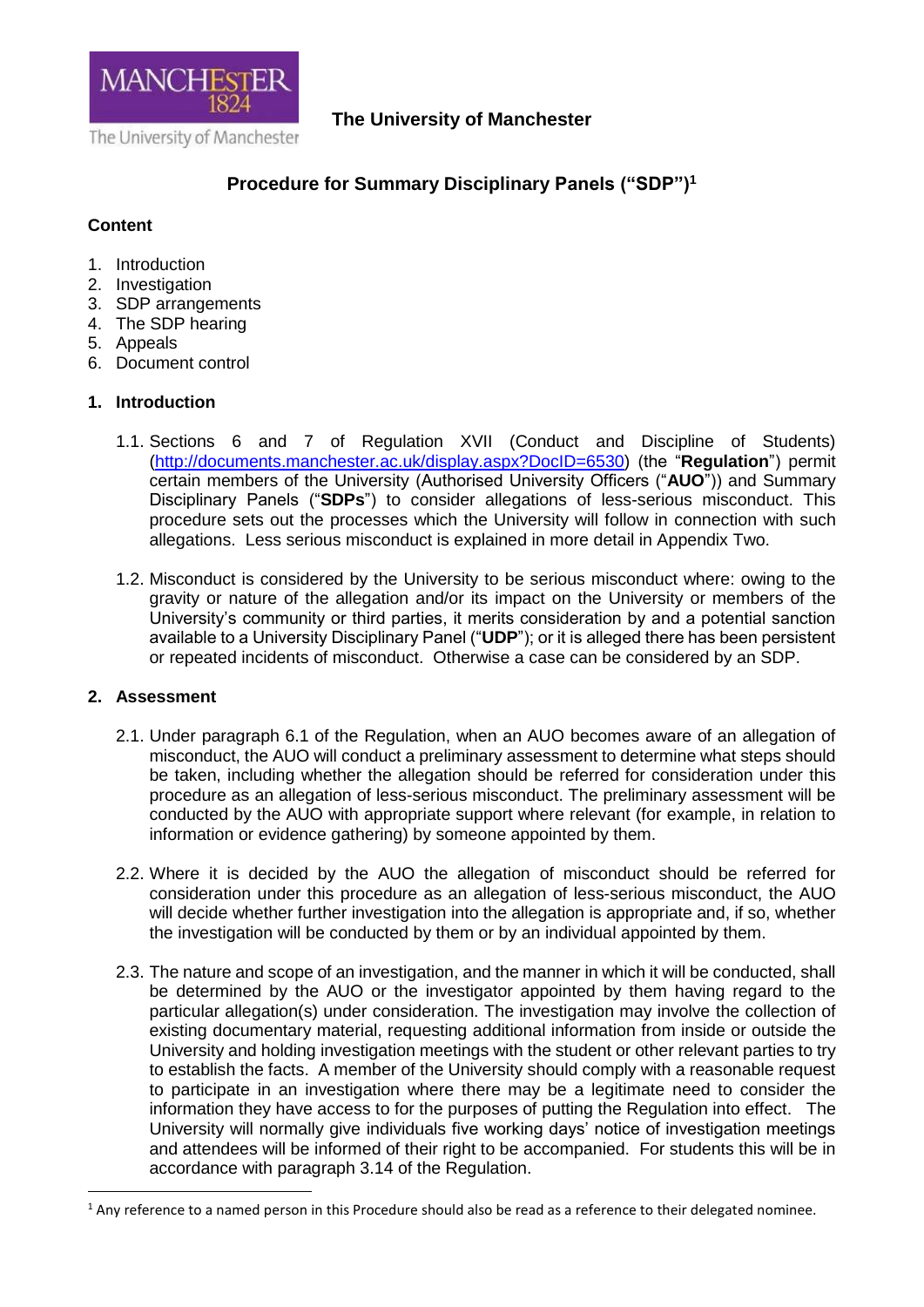

### **The University of Manchester**

# **Procedure for Summary Disciplinary Panels ("SDP")<sup>1</sup>**

### **Content**

- 1. Introduction
- 2. Investigation
- 3. SDP arrangements
- 4. The SDP hearing
- 5. Appeals
- 6. Document control

### **1. Introduction**

- 1.1. Sections 6 and 7 of Regulation XVII (Conduct and Discipline of Students) [\(http://documents.manchester.ac.uk/display.aspx?DocID=6530\)](http://documents.manchester.ac.uk/display.aspx?DocID=6530) (the "**Regulation**") permit certain members of the University (Authorised University Officers ("**AUO**")) and Summary Disciplinary Panels ("**SDPs**") to consider allegations of less-serious misconduct. This procedure sets out the processes which the University will follow in connection with such allegations. Less serious misconduct is explained in more detail in Appendix Two.
- 1.2. Misconduct is considered by the University to be serious misconduct where: owing to the gravity or nature of the allegation and/or its impact on the University or members of the University's community or third parties, it merits consideration by and a potential sanction available to a University Disciplinary Panel ("**UDP**"); or it is alleged there has been persistent or repeated incidents of misconduct. Otherwise a case can be considered by an SDP.

### **2. Assessment**

**.** 

- 2.1. Under paragraph 6.1 of the Regulation, when an AUO becomes aware of an allegation of misconduct, the AUO will conduct a preliminary assessment to determine what steps should be taken, including whether the allegation should be referred for consideration under this procedure as an allegation of less-serious misconduct. The preliminary assessment will be conducted by the AUO with appropriate support where relevant (for example, in relation to information or evidence gathering) by someone appointed by them.
- 2.2. Where it is decided by the AUO the allegation of misconduct should be referred for consideration under this procedure as an allegation of less-serious misconduct, the AUO will decide whether further investigation into the allegation is appropriate and, if so, whether the investigation will be conducted by them or by an individual appointed by them.
- 2.3. The nature and scope of an investigation, and the manner in which it will be conducted, shall be determined by the AUO or the investigator appointed by them having regard to the particular allegation(s) under consideration. The investigation may involve the collection of existing documentary material, requesting additional information from inside or outside the University and holding investigation meetings with the student or other relevant parties to try to establish the facts. A member of the University should comply with a reasonable request to participate in an investigation where there may be a legitimate need to consider the information they have access to for the purposes of putting the Regulation into effect. The University will normally give individuals five working days' notice of investigation meetings and attendees will be informed of their right to be accompanied. For students this will be in accordance with paragraph 3.14 of the Regulation.

<sup>&</sup>lt;sup>1</sup> Any reference to a named person in this Procedure should also be read as a reference to their delegated nominee.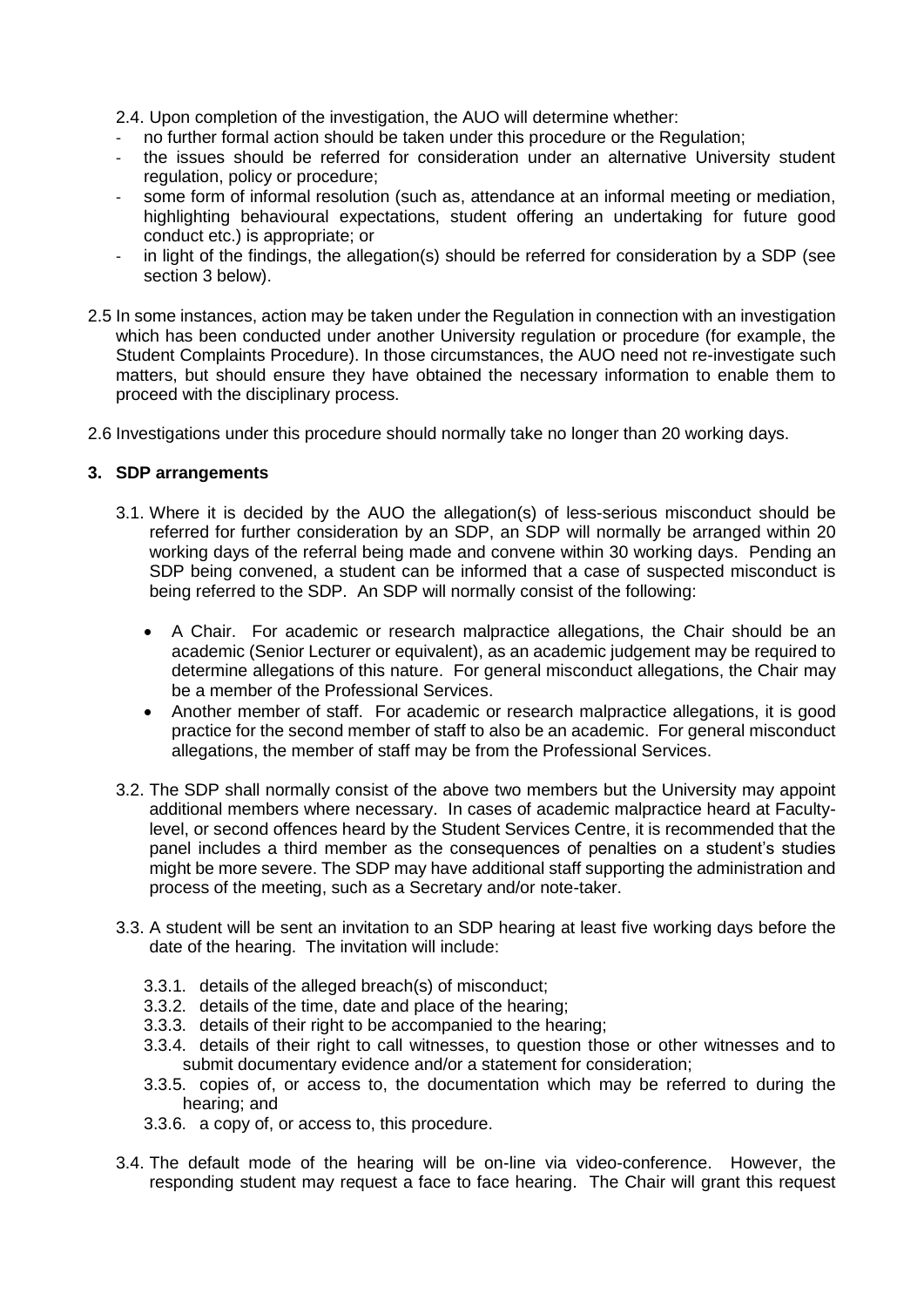2.4. Upon completion of the investigation, the AUO will determine whether:

- no further formal action should be taken under this procedure or the Regulation;
- the issues should be referred for consideration under an alternative University student regulation, policy or procedure;
- some form of informal resolution (such as, attendance at an informal meeting or mediation, highlighting behavioural expectations, student offering an undertaking for future good conduct etc.) is appropriate; or
- in light of the findings, the allegation(s) should be referred for consideration by a SDP (see section 3 below).
- 2.5 In some instances, action may be taken under the Regulation in connection with an investigation which has been conducted under another University regulation or procedure (for example, the Student Complaints Procedure). In those circumstances, the AUO need not re-investigate such matters, but should ensure they have obtained the necessary information to enable them to proceed with the disciplinary process.

2.6 Investigations under this procedure should normally take no longer than 20 working days.

#### **3. SDP arrangements**

- 3.1. Where it is decided by the AUO the allegation(s) of less-serious misconduct should be referred for further consideration by an SDP, an SDP will normally be arranged within 20 working days of the referral being made and convene within 30 working days. Pending an SDP being convened, a student can be informed that a case of suspected misconduct is being referred to the SDP. An SDP will normally consist of the following:
	- A Chair. For academic or research malpractice allegations, the Chair should be an academic (Senior Lecturer or equivalent), as an academic judgement may be required to determine allegations of this nature. For general misconduct allegations, the Chair may be a member of the Professional Services.
	- Another member of staff. For academic or research malpractice allegations, it is good practice for the second member of staff to also be an academic. For general misconduct allegations, the member of staff may be from the Professional Services.
- 3.2. The SDP shall normally consist of the above two members but the University may appoint additional members where necessary. In cases of academic malpractice heard at Facultylevel, or second offences heard by the Student Services Centre, it is recommended that the panel includes a third member as the consequences of penalties on a student's studies might be more severe. The SDP may have additional staff supporting the administration and process of the meeting, such as a Secretary and/or note-taker.
- 3.3. A student will be sent an invitation to an SDP hearing at least five working days before the date of the hearing. The invitation will include:
	- 3.3.1. details of the alleged breach(s) of misconduct;
	- 3.3.2. details of the time, date and place of the hearing;
	- 3.3.3. details of their right to be accompanied to the hearing;
	- 3.3.4. details of their right to call witnesses, to question those or other witnesses and to submit documentary evidence and/or a statement for consideration;
	- 3.3.5. copies of, or access to, the documentation which may be referred to during the hearing; and
	- 3.3.6. a copy of, or access to, this procedure.
- 3.4. The default mode of the hearing will be on-line via video-conference. However, the responding student may request a face to face hearing. The Chair will grant this request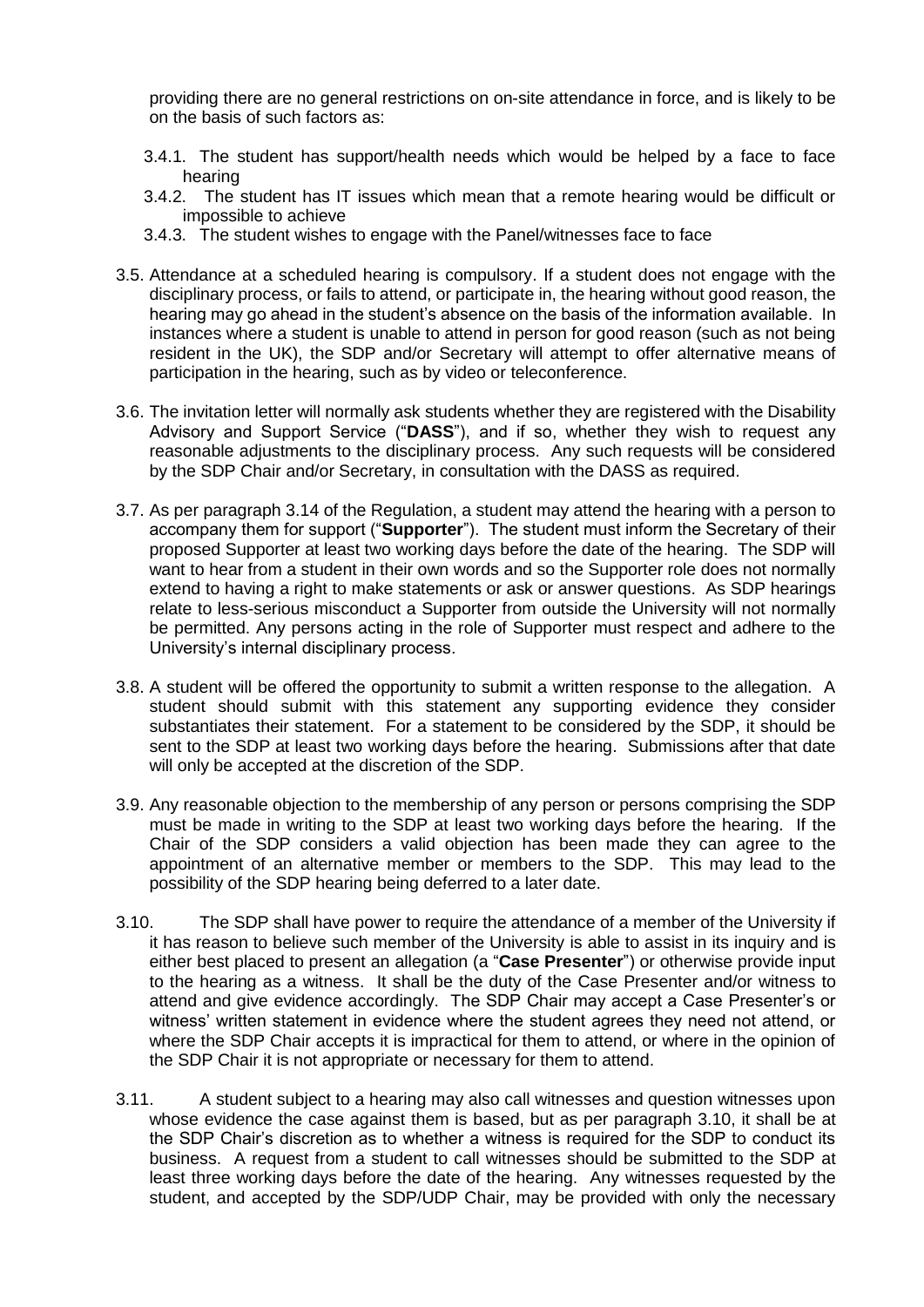providing there are no general restrictions on on-site attendance in force, and is likely to be on the basis of such factors as:

- 3.4.1. The student has support/health needs which would be helped by a face to face hearing
- 3.4.2. The student has IT issues which mean that a remote hearing would be difficult or impossible to achieve
- 3.4.3. The student wishes to engage with the Panel/witnesses face to face
- 3.5. Attendance at a scheduled hearing is compulsory. If a student does not engage with the disciplinary process, or fails to attend, or participate in, the hearing without good reason, the hearing may go ahead in the student's absence on the basis of the information available. In instances where a student is unable to attend in person for good reason (such as not being resident in the UK), the SDP and/or Secretary will attempt to offer alternative means of participation in the hearing, such as by video or teleconference.
- 3.6. The invitation letter will normally ask students whether they are registered with the Disability Advisory and Support Service ("**DASS**"), and if so, whether they wish to request any reasonable adjustments to the disciplinary process. Any such requests will be considered by the SDP Chair and/or Secretary, in consultation with the DASS as required.
- 3.7. As per paragraph 3.14 of the Regulation, a student may attend the hearing with a person to accompany them for support ("**Supporter**"). The student must inform the Secretary of their proposed Supporter at least two working days before the date of the hearing. The SDP will want to hear from a student in their own words and so the Supporter role does not normally extend to having a right to make statements or ask or answer questions. As SDP hearings relate to less-serious misconduct a Supporter from outside the University will not normally be permitted. Any persons acting in the role of Supporter must respect and adhere to the University's internal disciplinary process.
- 3.8. A student will be offered the opportunity to submit a written response to the allegation. A student should submit with this statement any supporting evidence they consider substantiates their statement. For a statement to be considered by the SDP, it should be sent to the SDP at least two working days before the hearing. Submissions after that date will only be accepted at the discretion of the SDP.
- 3.9. Any reasonable objection to the membership of any person or persons comprising the SDP must be made in writing to the SDP at least two working days before the hearing. If the Chair of the SDP considers a valid objection has been made they can agree to the appointment of an alternative member or members to the SDP. This may lead to the possibility of the SDP hearing being deferred to a later date.
- 3.10. The SDP shall have power to require the attendance of a member of the University if it has reason to believe such member of the University is able to assist in its inquiry and is either best placed to present an allegation (a "**Case Presenter**") or otherwise provide input to the hearing as a witness. It shall be the duty of the Case Presenter and/or witness to attend and give evidence accordingly. The SDP Chair may accept a Case Presenter's or witness' written statement in evidence where the student agrees they need not attend, or where the SDP Chair accepts it is impractical for them to attend, or where in the opinion of the SDP Chair it is not appropriate or necessary for them to attend.
- 3.11. A student subject to a hearing may also call witnesses and question witnesses upon whose evidence the case against them is based, but as per paragraph 3.10, it shall be at the SDP Chair's discretion as to whether a witness is required for the SDP to conduct its business. A request from a student to call witnesses should be submitted to the SDP at least three working days before the date of the hearing. Any witnesses requested by the student, and accepted by the SDP/UDP Chair, may be provided with only the necessary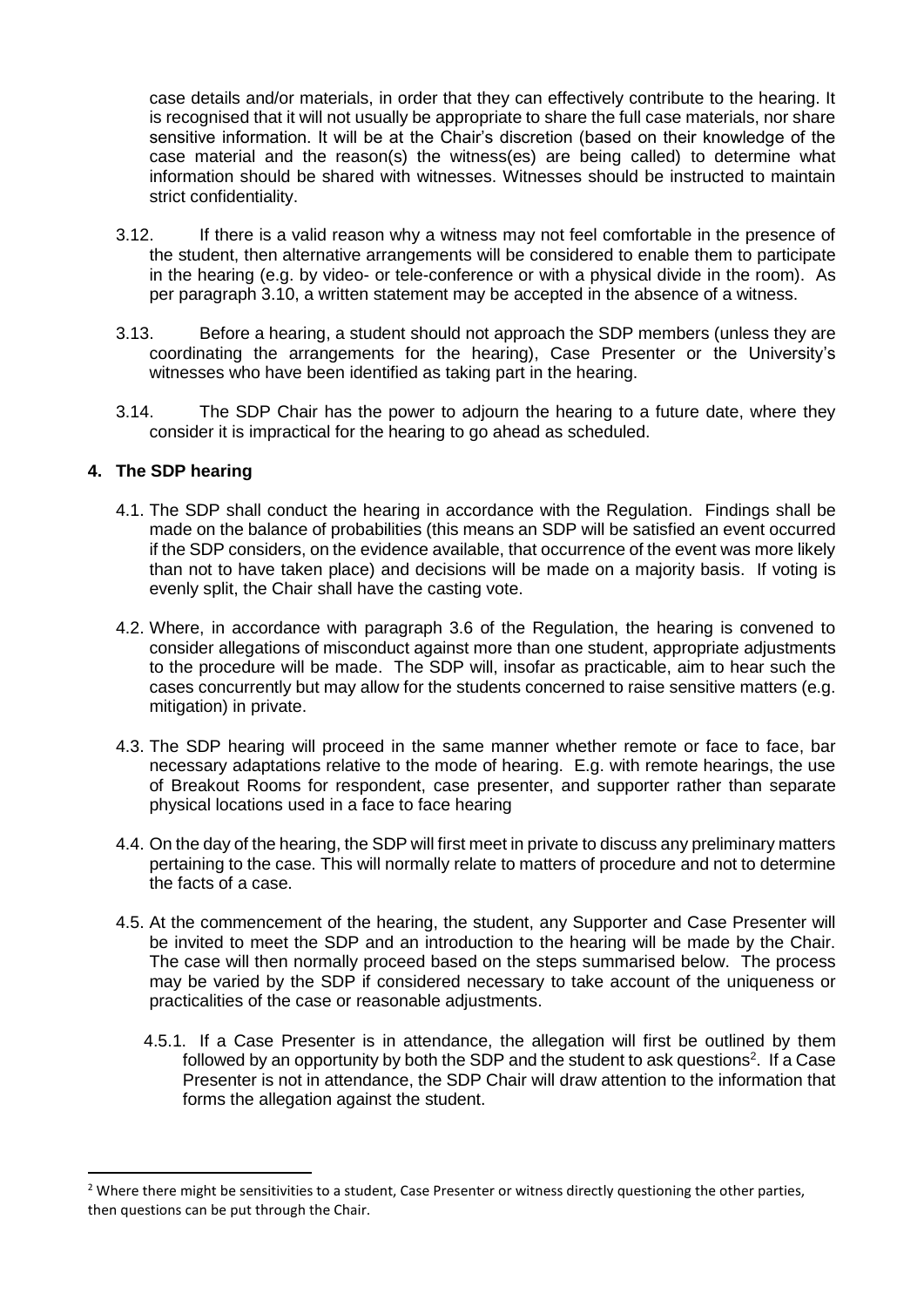case details and/or materials, in order that they can effectively contribute to the hearing. It is recognised that it will not usually be appropriate to share the full case materials, nor share sensitive information. It will be at the Chair's discretion (based on their knowledge of the case material and the reason(s) the witness(es) are being called) to determine what information should be shared with witnesses. Witnesses should be instructed to maintain strict confidentiality.

- 3.12. If there is a valid reason why a witness may not feel comfortable in the presence of the student, then alternative arrangements will be considered to enable them to participate in the hearing (e.g. by video- or tele-conference or with a physical divide in the room). As per paragraph 3.10, a written statement may be accepted in the absence of a witness.
- 3.13. Before a hearing, a student should not approach the SDP members (unless they are coordinating the arrangements for the hearing), Case Presenter or the University's witnesses who have been identified as taking part in the hearing.
- 3.14. The SDP Chair has the power to adjourn the hearing to a future date, where they consider it is impractical for the hearing to go ahead as scheduled.

### **4. The SDP hearing**

1

- 4.1. The SDP shall conduct the hearing in accordance with the Regulation. Findings shall be made on the balance of probabilities (this means an SDP will be satisfied an event occurred if the SDP considers, on the evidence available, that occurrence of the event was more likely than not to have taken place) and decisions will be made on a majority basis. If voting is evenly split, the Chair shall have the casting vote.
- 4.2. Where, in accordance with paragraph 3.6 of the Regulation, the hearing is convened to consider allegations of misconduct against more than one student, appropriate adjustments to the procedure will be made. The SDP will, insofar as practicable, aim to hear such the cases concurrently but may allow for the students concerned to raise sensitive matters (e.g. mitigation) in private.
- 4.3. The SDP hearing will proceed in the same manner whether remote or face to face, bar necessary adaptations relative to the mode of hearing. E.g. with remote hearings, the use of Breakout Rooms for respondent, case presenter, and supporter rather than separate physical locations used in a face to face hearing
- 4.4. On the day of the hearing, the SDP will first meet in private to discuss any preliminary matters pertaining to the case. This will normally relate to matters of procedure and not to determine the facts of a case.
- 4.5. At the commencement of the hearing, the student, any Supporter and Case Presenter will be invited to meet the SDP and an introduction to the hearing will be made by the Chair. The case will then normally proceed based on the steps summarised below. The process may be varied by the SDP if considered necessary to take account of the uniqueness or practicalities of the case or reasonable adjustments.
	- 4.5.1. If a Case Presenter is in attendance, the allegation will first be outlined by them followed by an opportunity by both the SDP and the student to ask questions<sup>2</sup>. If a Case Presenter is not in attendance, the SDP Chair will draw attention to the information that forms the allegation against the student.

<sup>&</sup>lt;sup>2</sup> Where there might be sensitivities to a student, Case Presenter or witness directly questioning the other parties, then questions can be put through the Chair.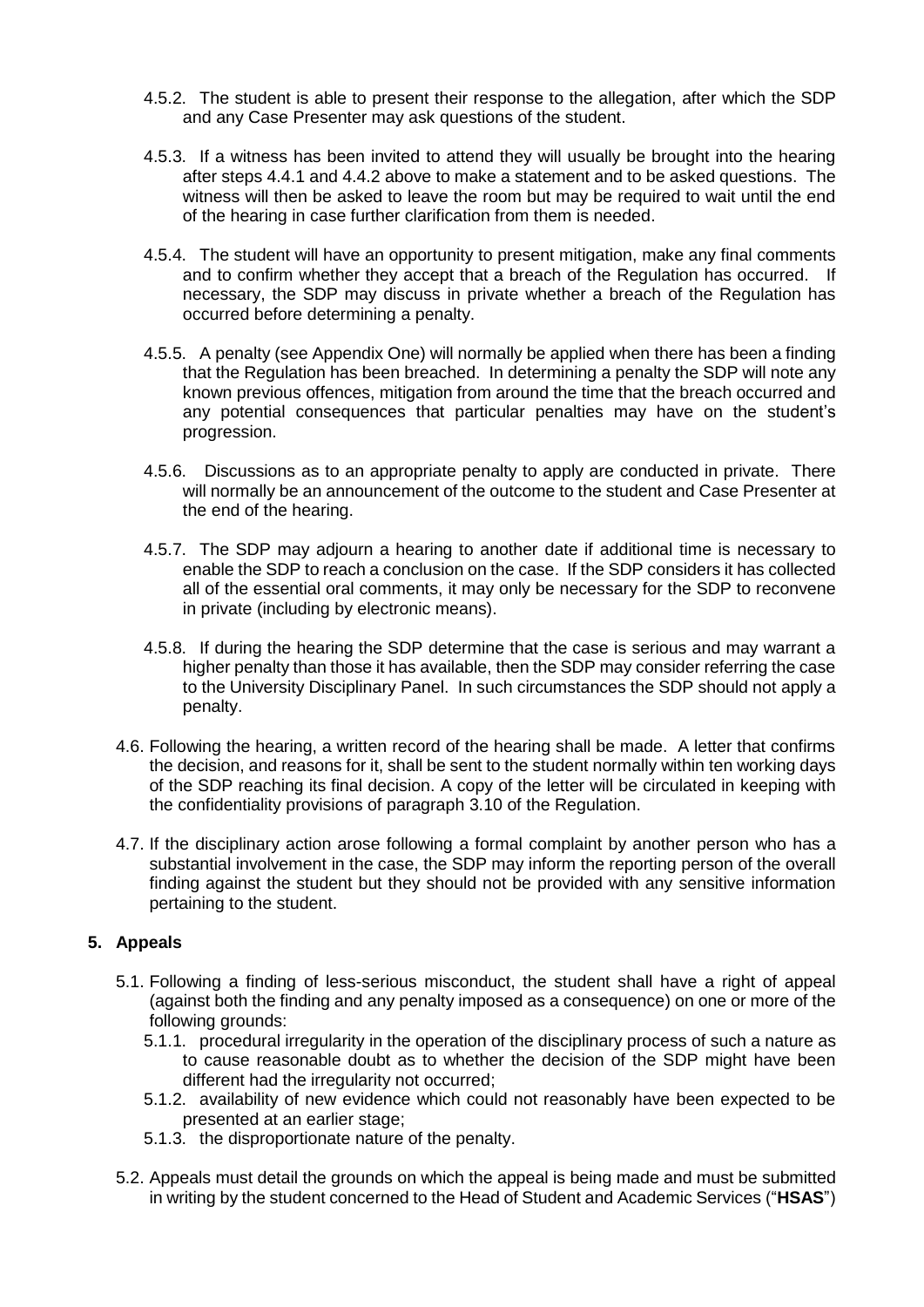- 4.5.2. The student is able to present their response to the allegation, after which the SDP and any Case Presenter may ask questions of the student.
- 4.5.3. If a witness has been invited to attend they will usually be brought into the hearing after steps 4.4.1 and 4.4.2 above to make a statement and to be asked questions. The witness will then be asked to leave the room but may be required to wait until the end of the hearing in case further clarification from them is needed.
- 4.5.4. The student will have an opportunity to present mitigation, make any final comments and to confirm whether they accept that a breach of the Regulation has occurred. If necessary, the SDP may discuss in private whether a breach of the Regulation has occurred before determining a penalty.
- 4.5.5. A penalty (see Appendix One) will normally be applied when there has been a finding that the Regulation has been breached. In determining a penalty the SDP will note any known previous offences, mitigation from around the time that the breach occurred and any potential consequences that particular penalties may have on the student's progression.
- 4.5.6. Discussions as to an appropriate penalty to apply are conducted in private. There will normally be an announcement of the outcome to the student and Case Presenter at the end of the hearing.
- 4.5.7. The SDP may adjourn a hearing to another date if additional time is necessary to enable the SDP to reach a conclusion on the case. If the SDP considers it has collected all of the essential oral comments, it may only be necessary for the SDP to reconvene in private (including by electronic means).
- 4.5.8. If during the hearing the SDP determine that the case is serious and may warrant a higher penalty than those it has available, then the SDP may consider referring the case to the University Disciplinary Panel. In such circumstances the SDP should not apply a penalty.
- 4.6. Following the hearing, a written record of the hearing shall be made. A letter that confirms the decision, and reasons for it, shall be sent to the student normally within ten working days of the SDP reaching its final decision. A copy of the letter will be circulated in keeping with the confidentiality provisions of paragraph 3.10 of the Regulation.
- 4.7. If the disciplinary action arose following a formal complaint by another person who has a substantial involvement in the case, the SDP may inform the reporting person of the overall finding against the student but they should not be provided with any sensitive information pertaining to the student.

### **5. Appeals**

- 5.1. Following a finding of less-serious misconduct, the student shall have a right of appeal (against both the finding and any penalty imposed as a consequence) on one or more of the following grounds:
	- 5.1.1. procedural irregularity in the operation of the disciplinary process of such a nature as to cause reasonable doubt as to whether the decision of the SDP might have been different had the irregularity not occurred;
	- 5.1.2. availability of new evidence which could not reasonably have been expected to be presented at an earlier stage;
	- 5.1.3. the disproportionate nature of the penalty.
- 5.2. Appeals must detail the grounds on which the appeal is being made and must be submitted in writing by the student concerned to the Head of Student and Academic Services ("**HSAS**")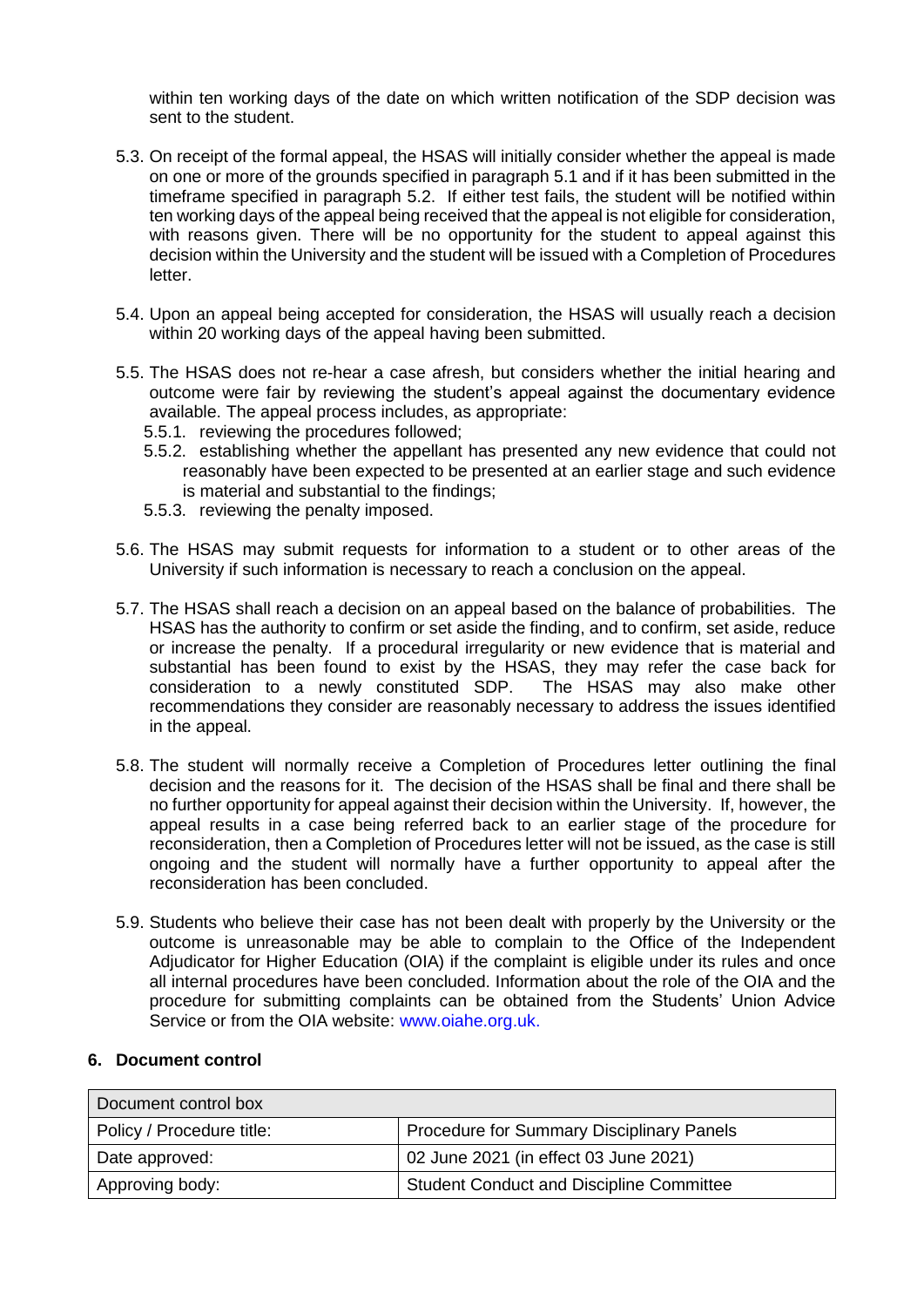within ten working days of the date on which written notification of the SDP decision was sent to the student.

- 5.3. On receipt of the formal appeal, the HSAS will initially consider whether the appeal is made on one or more of the grounds specified in paragraph 5.1 and if it has been submitted in the timeframe specified in paragraph 5.2. If either test fails, the student will be notified within ten working days of the appeal being received that the appeal is not eligible for consideration, with reasons given. There will be no opportunity for the student to appeal against this decision within the University and the student will be issued with a Completion of Procedures letter.
- 5.4. Upon an appeal being accepted for consideration, the HSAS will usually reach a decision within 20 working days of the appeal having been submitted.
- 5.5. The HSAS does not re-hear a case afresh, but considers whether the initial hearing and outcome were fair by reviewing the student's appeal against the documentary evidence available. The appeal process includes, as appropriate:
	- 5.5.1. reviewing the procedures followed;
	- 5.5.2. establishing whether the appellant has presented any new evidence that could not reasonably have been expected to be presented at an earlier stage and such evidence is material and substantial to the findings;
	- 5.5.3. reviewing the penalty imposed.
- 5.6. The HSAS may submit requests for information to a student or to other areas of the University if such information is necessary to reach a conclusion on the appeal.
- 5.7. The HSAS shall reach a decision on an appeal based on the balance of probabilities. The HSAS has the authority to confirm or set aside the finding, and to confirm, set aside, reduce or increase the penalty. If a procedural irregularity or new evidence that is material and substantial has been found to exist by the HSAS, they may refer the case back for consideration to a newly constituted SDP. The HSAS may also make other recommendations they consider are reasonably necessary to address the issues identified in the appeal.
- 5.8. The student will normally receive a Completion of Procedures letter outlining the final decision and the reasons for it. The decision of the HSAS shall be final and there shall be no further opportunity for appeal against their decision within the University. If, however, the appeal results in a case being referred back to an earlier stage of the procedure for reconsideration, then a Completion of Procedures letter will not be issued, as the case is still ongoing and the student will normally have a further opportunity to appeal after the reconsideration has been concluded.
- 5.9. Students who believe their case has not been dealt with properly by the University or the outcome is unreasonable may be able to complain to the Office of the Independent Adjudicator for Higher Education (OIA) if the complaint is eligible under its rules and once all internal procedures have been concluded. Information about the role of the OIA and the procedure for submitting complaints can be obtained from the Students' Union Advice Service or from the OIA website: www.oiahe.org.uk.

#### **6. Document control**

| Document control box      |                                                  |
|---------------------------|--------------------------------------------------|
| Policy / Procedure title: | <b>Procedure for Summary Disciplinary Panels</b> |
| Date approved:            | 02 June 2021 (in effect 03 June 2021)            |
| Approving body:           | <b>Student Conduct and Discipline Committee</b>  |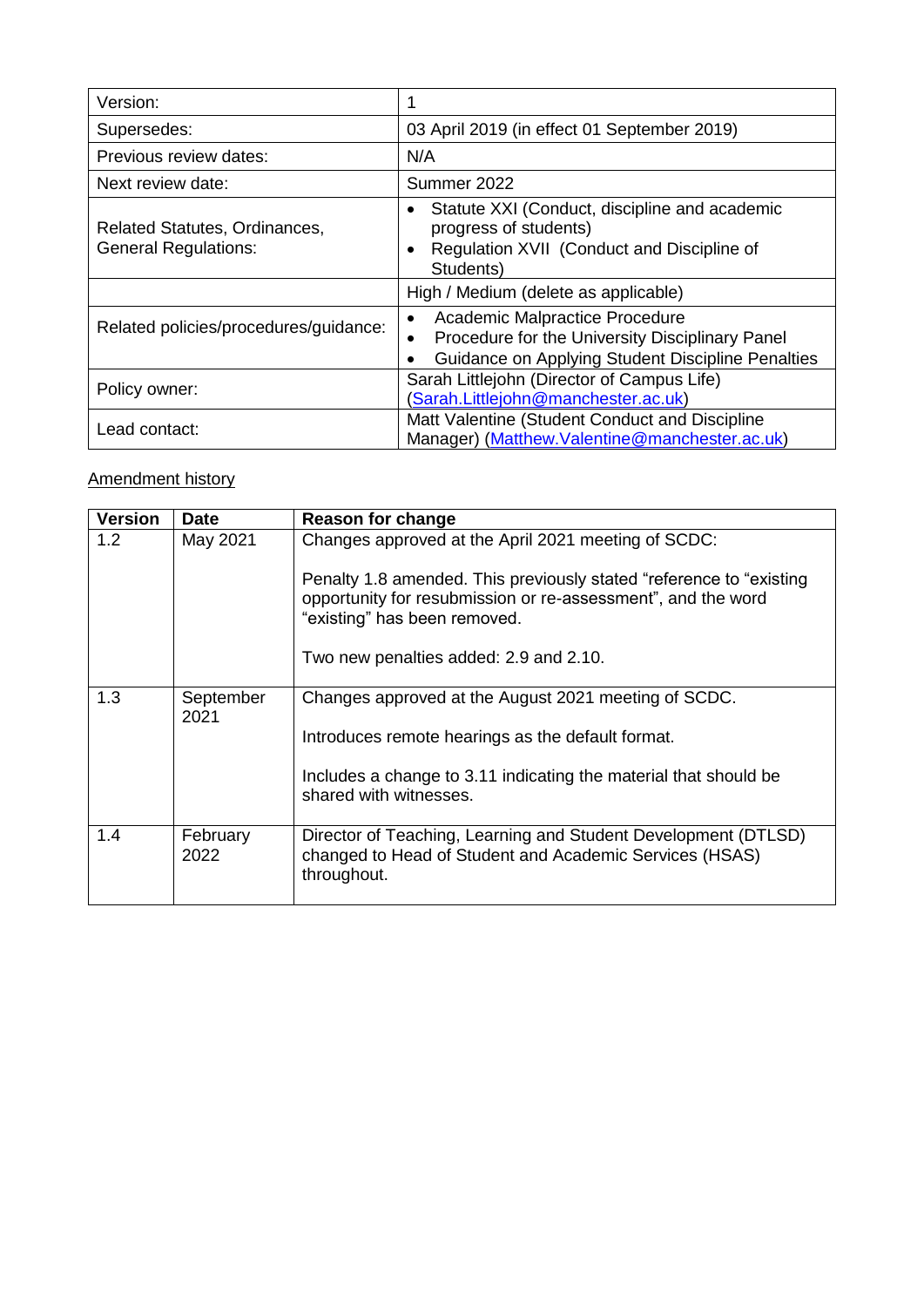| Version:                                                            | 1                                                                                                                                                           |
|---------------------------------------------------------------------|-------------------------------------------------------------------------------------------------------------------------------------------------------------|
| Supersedes:                                                         | 03 April 2019 (in effect 01 September 2019)                                                                                                                 |
| Previous review dates:                                              | N/A                                                                                                                                                         |
| Next review date:                                                   | Summer 2022                                                                                                                                                 |
| <b>Related Statutes, Ordinances,</b><br><b>General Regulations:</b> | Statute XXI (Conduct, discipline and academic<br>$\bullet$<br>progress of students)<br>Regulation XVII (Conduct and Discipline of<br>$\bullet$<br>Students) |
|                                                                     | High / Medium (delete as applicable)                                                                                                                        |
| Related policies/procedures/guidance:                               | Academic Malpractice Procedure<br>Procedure for the University Disciplinary Panel<br>Guidance on Applying Student Discipline Penalties                      |
| Policy owner:                                                       | Sarah Littlejohn (Director of Campus Life)<br>(Sarah.Littlejohn@manchester.ac.uk)                                                                           |
| Lead contact:                                                       | Matt Valentine (Student Conduct and Discipline<br>Manager) (Matthew.Valentine@manchester.ac.uk)                                                             |

# Amendment history

| <b>Version</b> | <b>Date</b>       | <b>Reason for change</b>                                                                                                                                             |
|----------------|-------------------|----------------------------------------------------------------------------------------------------------------------------------------------------------------------|
| 1.2            | May 2021          | Changes approved at the April 2021 meeting of SCDC:                                                                                                                  |
|                |                   | Penalty 1.8 amended. This previously stated "reference to "existing"<br>opportunity for resubmission or re-assessment", and the word<br>"existing" has been removed. |
|                |                   | Two new penalties added: 2.9 and 2.10.                                                                                                                               |
| 1.3            | September<br>2021 | Changes approved at the August 2021 meeting of SCDC.                                                                                                                 |
|                |                   | Introduces remote hearings as the default format.                                                                                                                    |
|                |                   | Includes a change to 3.11 indicating the material that should be<br>shared with witnesses.                                                                           |
| 1.4            | February<br>2022  | Director of Teaching, Learning and Student Development (DTLSD)<br>changed to Head of Student and Academic Services (HSAS)<br>throughout.                             |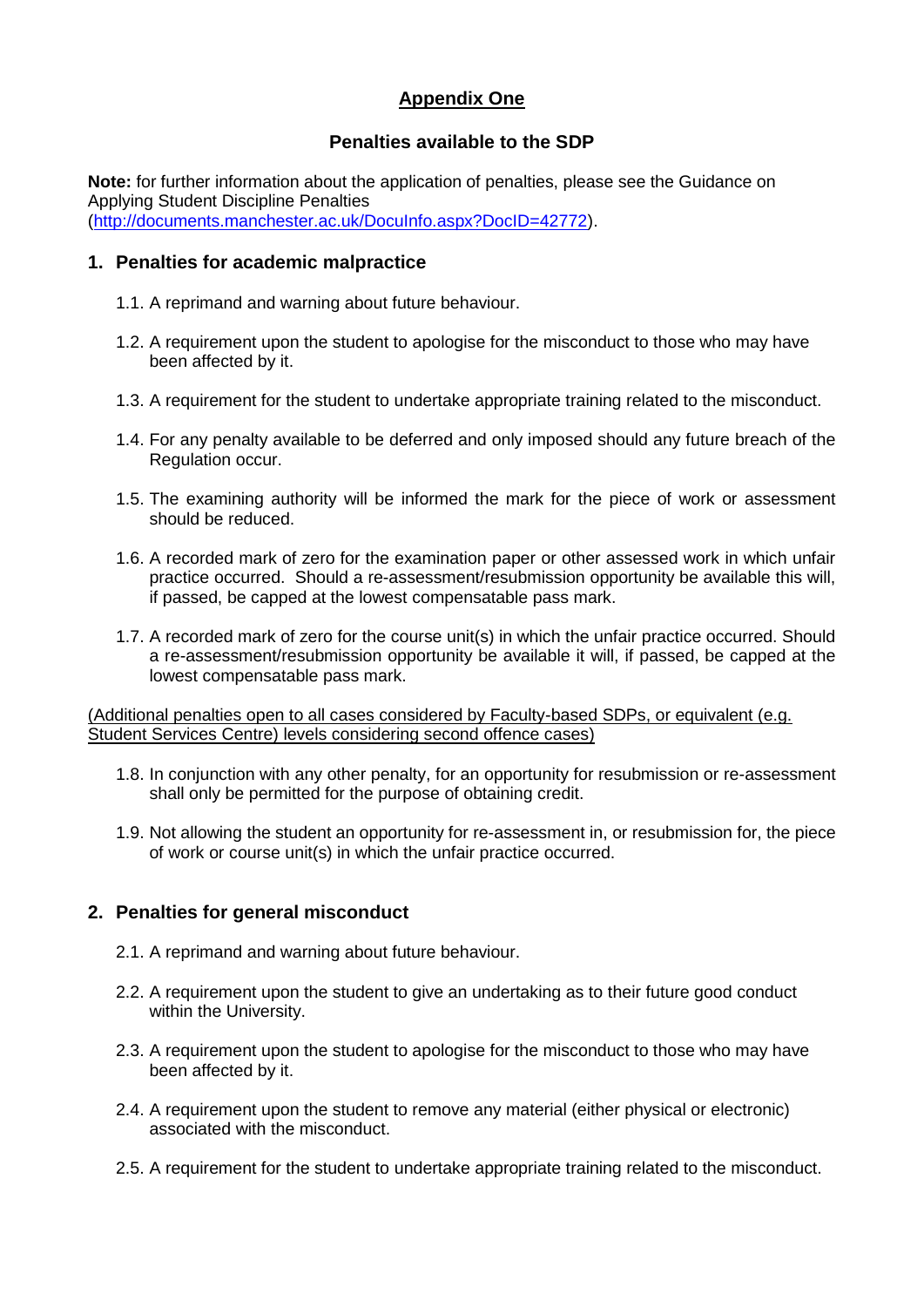# **Appendix One**

## **Penalties available to the SDP**

**Note:** for further information about the application of penalties, please see the Guidance on Applying Student Discipline Penalties [\(http://documents.manchester.ac.uk/DocuInfo.aspx?DocID=42772\)](http://documents.manchester.ac.uk/DocuInfo.aspx?DocID=42772).

## **1. Penalties for academic malpractice**

- 1.1. A reprimand and warning about future behaviour.
- 1.2. A requirement upon the student to apologise for the misconduct to those who may have been affected by it.
- 1.3. A requirement for the student to undertake appropriate training related to the misconduct.
- 1.4. For any penalty available to be deferred and only imposed should any future breach of the Regulation occur.
- 1.5. The examining authority will be informed the mark for the piece of work or assessment should be reduced.
- 1.6. A recorded mark of zero for the examination paper or other assessed work in which unfair practice occurred. Should a re-assessment/resubmission opportunity be available this will, if passed, be capped at the lowest compensatable pass mark.
- 1.7. A recorded mark of zero for the course unit(s) in which the unfair practice occurred. Should a re-assessment/resubmission opportunity be available it will, if passed, be capped at the lowest compensatable pass mark.

(Additional penalties open to all cases considered by Faculty-based SDPs, or equivalent (e.g. Student Services Centre) levels considering second offence cases)

- 1.8. In conjunction with any other penalty, for an opportunity for resubmission or re-assessment shall only be permitted for the purpose of obtaining credit.
- 1.9. Not allowing the student an opportunity for re-assessment in, or resubmission for, the piece of work or course unit(s) in which the unfair practice occurred.

## **2. Penalties for general misconduct**

- 2.1. A reprimand and warning about future behaviour.
- 2.2. A requirement upon the student to give an undertaking as to their future good conduct within the University.
- 2.3. A requirement upon the student to apologise for the misconduct to those who may have been affected by it.
- 2.4. A requirement upon the student to remove any material (either physical or electronic) associated with the misconduct.
- 2.5. A requirement for the student to undertake appropriate training related to the misconduct.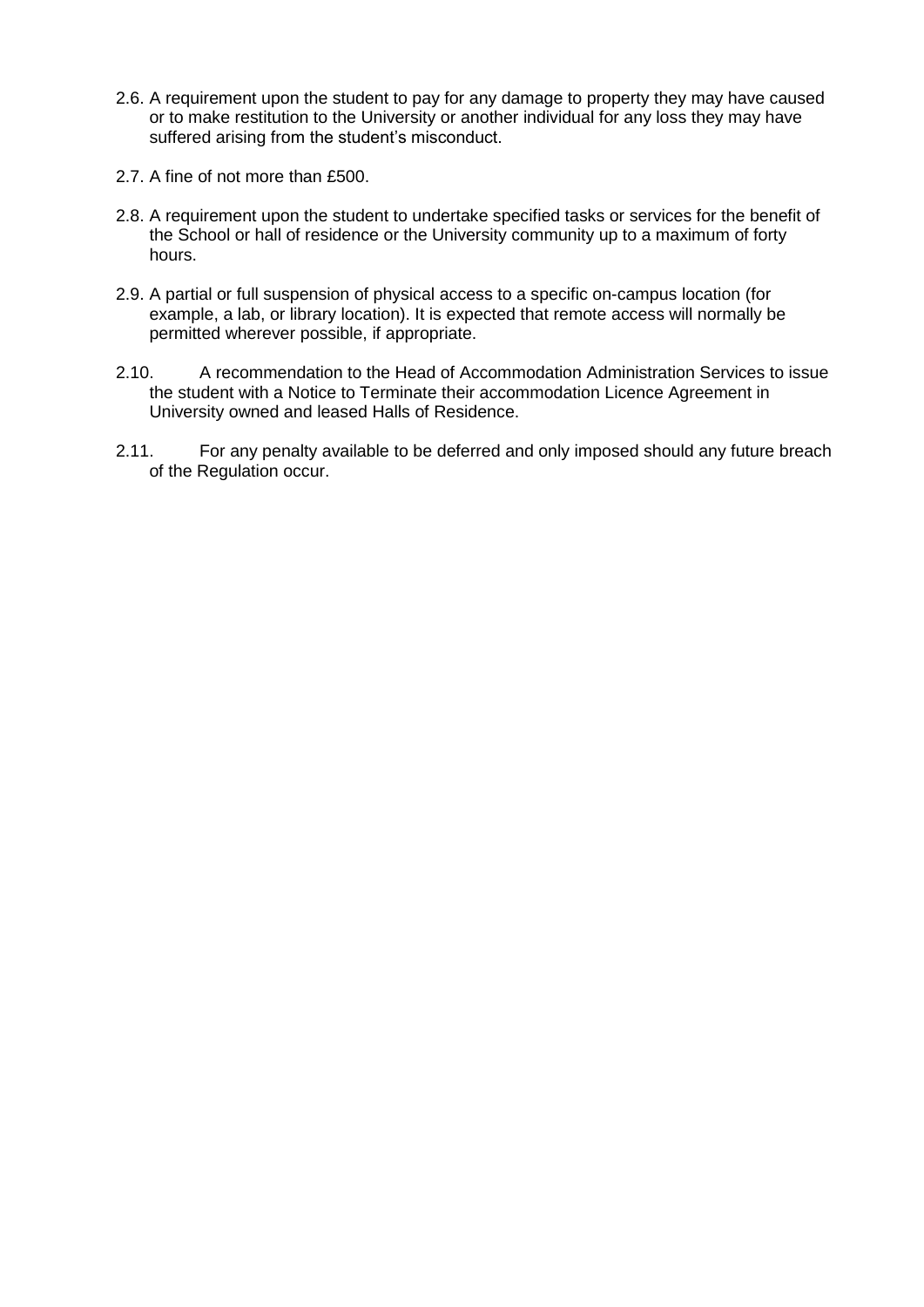- 2.6. A requirement upon the student to pay for any damage to property they may have caused or to make restitution to the University or another individual for any loss they may have suffered arising from the student's misconduct.
- 2.7. A fine of not more than £500.
- 2.8. A requirement upon the student to undertake specified tasks or services for the benefit of the School or hall of residence or the University community up to a maximum of forty hours.
- 2.9. A partial or full suspension of physical access to a specific on-campus location (for example, a lab, or library location). It is expected that remote access will normally be permitted wherever possible, if appropriate.
- 2.10. A recommendation to the Head of Accommodation Administration Services to issue the student with a Notice to Terminate their accommodation Licence Agreement in University owned and leased Halls of Residence.
- 2.11. For any penalty available to be deferred and only imposed should any future breach of the Regulation occur.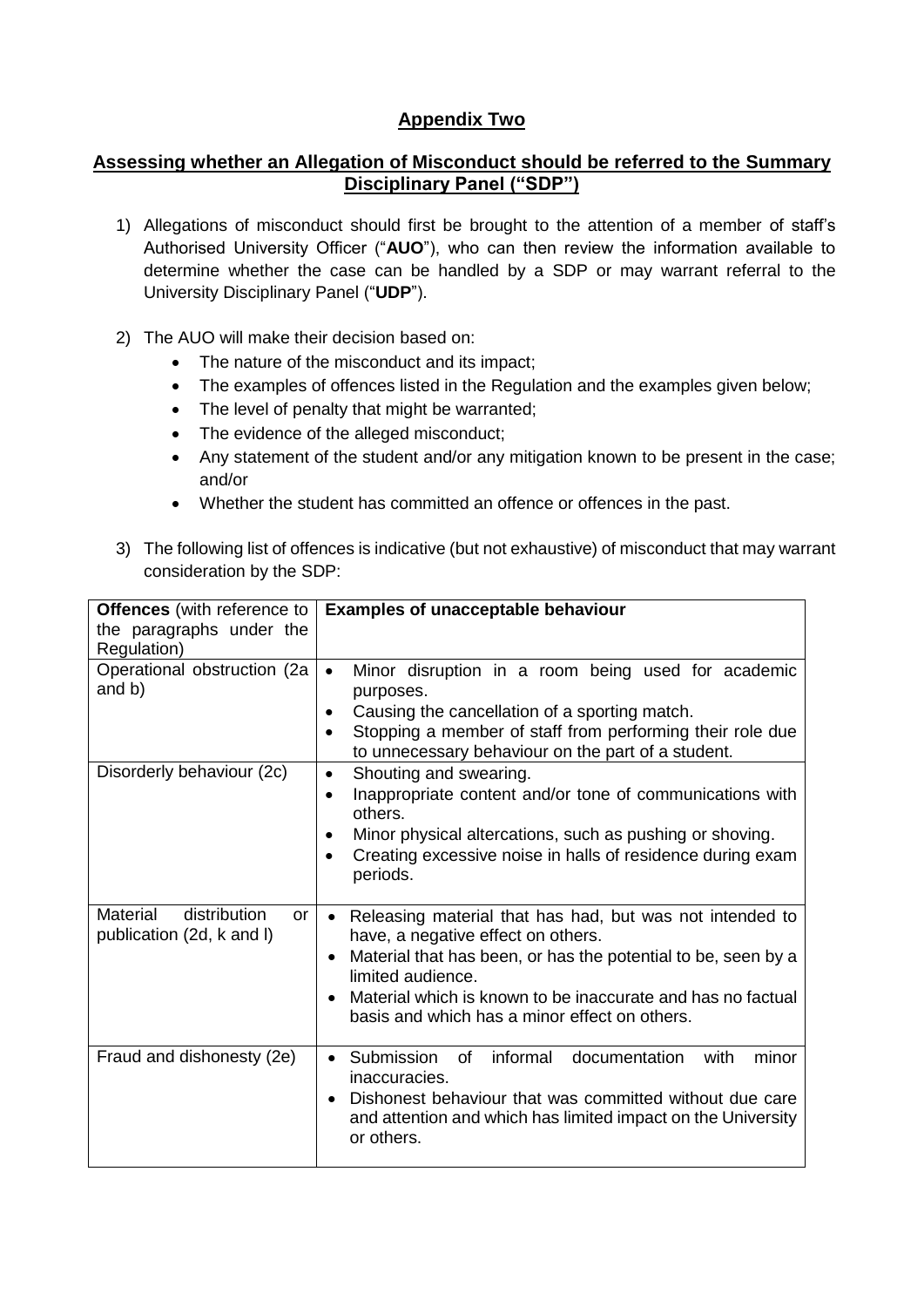# **Appendix Two**

## **Assessing whether an Allegation of Misconduct should be referred to the Summary Disciplinary Panel ("SDP")**

- 1) Allegations of misconduct should first be brought to the attention of a member of staff's Authorised University Officer ("**AUO**"), who can then review the information available to determine whether the case can be handled by a SDP or may warrant referral to the University Disciplinary Panel ("**UDP**").
- 2) The AUO will make their decision based on:
	- The nature of the misconduct and its impact;
	- The examples of offences listed in the Regulation and the examples given below;
	- The level of penalty that might be warranted;
	- The evidence of the alleged misconduct;
	- Any statement of the student and/or any mitigation known to be present in the case; and/or
	- Whether the student has committed an offence or offences in the past.
- 3) The following list of offences is indicative (but not exhaustive) of misconduct that may warrant consideration by the SDP:

| <b>Offences</b> (with reference to<br>the paragraphs under the<br>Regulation) | <b>Examples of unacceptable behaviour</b>                                                                                                                                                                                                                                                                                                   |
|-------------------------------------------------------------------------------|---------------------------------------------------------------------------------------------------------------------------------------------------------------------------------------------------------------------------------------------------------------------------------------------------------------------------------------------|
| Operational obstruction (2a<br>and b)                                         | Minor disruption in a room being used for academic<br>$\bullet$<br>purposes.<br>Causing the cancellation of a sporting match.<br>٠<br>Stopping a member of staff from performing their role due<br>$\bullet$<br>to unnecessary behaviour on the part of a student.                                                                          |
| Disorderly behaviour (2c)                                                     | Shouting and swearing.<br>$\bullet$<br>Inappropriate content and/or tone of communications with<br>$\bullet$<br>others.<br>Minor physical altercations, such as pushing or shoving.<br>٠<br>Creating excessive noise in halls of residence during exam<br>$\bullet$<br>periods.                                                             |
| <b>Material</b><br>distribution<br>or<br>publication (2d, k and I)            | Releasing material that has had, but was not intended to<br>$\bullet$<br>have, a negative effect on others.<br>Material that has been, or has the potential to be, seen by a<br>$\bullet$<br>limited audience.<br>Material which is known to be inaccurate and has no factual<br>$\bullet$<br>basis and which has a minor effect on others. |
| Fraud and dishonesty (2e)                                                     | • Submission<br>informal<br>minor<br>documentation<br>of<br>with<br>inaccuracies.<br>Dishonest behaviour that was committed without due care<br>$\bullet$<br>and attention and which has limited impact on the University<br>or others.                                                                                                     |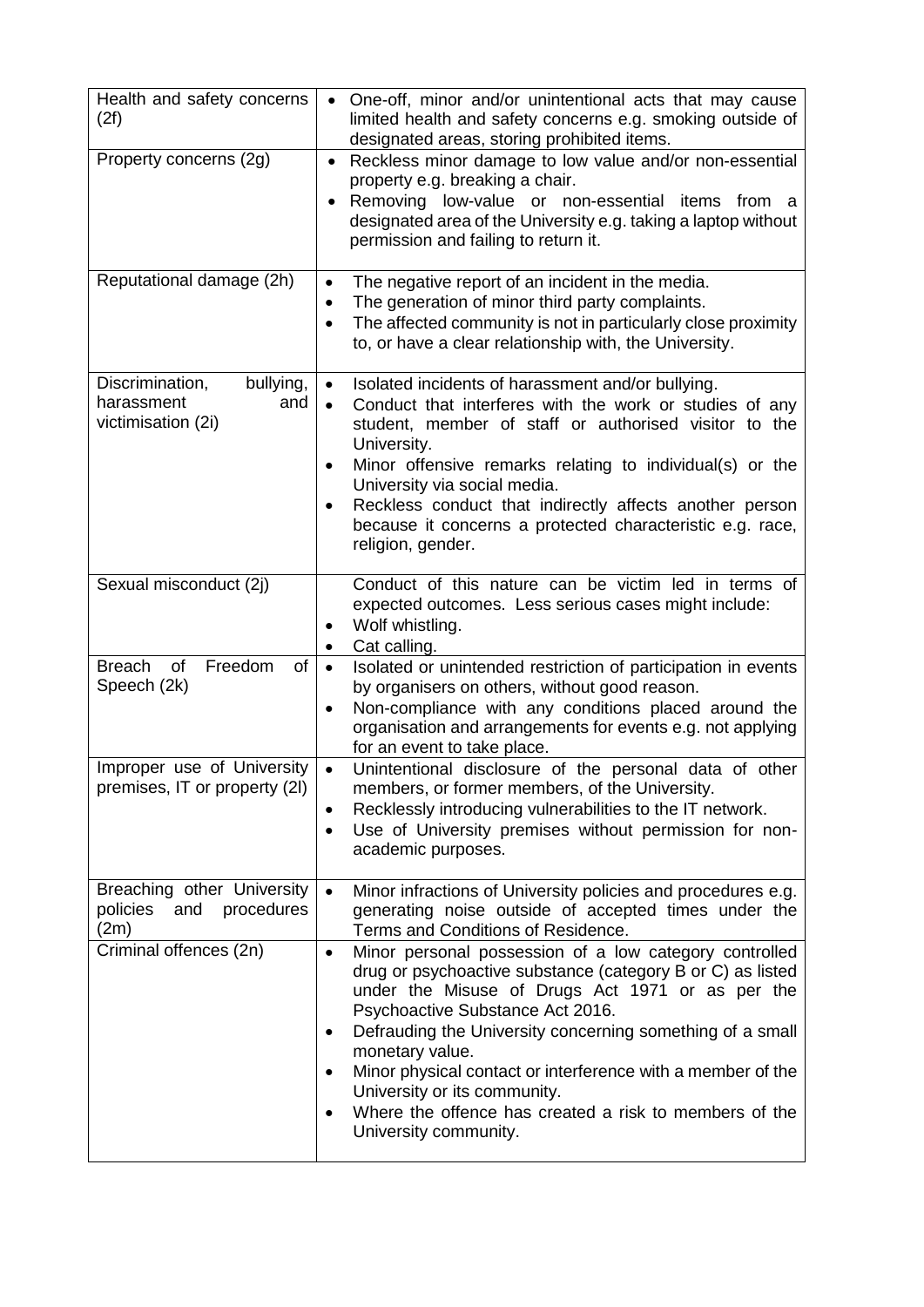| Health and safety concerns<br>(2f)                                      | One-off, minor and/or unintentional acts that may cause<br>limited health and safety concerns e.g. smoking outside of<br>designated areas, storing prohibited items.                                                                                                                                                                                                                                                                                                                                                  |
|-------------------------------------------------------------------------|-----------------------------------------------------------------------------------------------------------------------------------------------------------------------------------------------------------------------------------------------------------------------------------------------------------------------------------------------------------------------------------------------------------------------------------------------------------------------------------------------------------------------|
| Property concerns (2g)                                                  | Reckless minor damage to low value and/or non-essential<br>$\bullet$<br>property e.g. breaking a chair.<br>Removing low-value or non-essential items from<br>$\bullet$<br>- a<br>designated area of the University e.g. taking a laptop without<br>permission and failing to return it.                                                                                                                                                                                                                               |
| Reputational damage (2h)                                                | The negative report of an incident in the media.<br>$\bullet$<br>The generation of minor third party complaints.<br>$\bullet$<br>The affected community is not in particularly close proximity<br>$\bullet$<br>to, or have a clear relationship with, the University.                                                                                                                                                                                                                                                 |
| Discrimination,<br>bullying,<br>harassment<br>and<br>victimisation (2i) | Isolated incidents of harassment and/or bullying.<br>$\bullet$<br>Conduct that interferes with the work or studies of any<br>$\bullet$<br>student, member of staff or authorised visitor to the<br>University.<br>Minor offensive remarks relating to individual(s) or the<br>٠<br>University via social media.<br>Reckless conduct that indirectly affects another person<br>$\bullet$<br>because it concerns a protected characteristic e.g. race,<br>religion, gender.                                             |
| Sexual misconduct (2j)                                                  | Conduct of this nature can be victim led in terms of<br>expected outcomes. Less serious cases might include:<br>Wolf whistling.<br>Cat calling.<br>٠                                                                                                                                                                                                                                                                                                                                                                  |
| Freedom<br><b>Breach</b><br>of<br>of<br>Speech (2k)                     | Isolated or unintended restriction of participation in events<br>$\bullet$<br>by organisers on others, without good reason.<br>Non-compliance with any conditions placed around the<br>organisation and arrangements for events e.g. not applying<br>for an event to take place.                                                                                                                                                                                                                                      |
| Improper use of University<br>premises, IT or property (2I)             | Unintentional disclosure of the personal data of other<br>$\bullet$<br>members, or former members, of the University.<br>Recklessly introducing vulnerabilities to the IT network.<br>Use of University premises without permission for non-<br>academic purposes.                                                                                                                                                                                                                                                    |
| Breaching other University<br>policies<br>procedures<br>and<br>(2m)     | Minor infractions of University policies and procedures e.g.<br>$\bullet$<br>generating noise outside of accepted times under the<br>Terms and Conditions of Residence.                                                                                                                                                                                                                                                                                                                                               |
| Criminal offences (2n)                                                  | Minor personal possession of a low category controlled<br>$\bullet$<br>drug or psychoactive substance (category B or C) as listed<br>under the Misuse of Drugs Act 1971 or as per the<br>Psychoactive Substance Act 2016.<br>Defrauding the University concerning something of a small<br>$\bullet$<br>monetary value.<br>Minor physical contact or interference with a member of the<br>University or its community.<br>Where the offence has created a risk to members of the<br>$\bullet$<br>University community. |